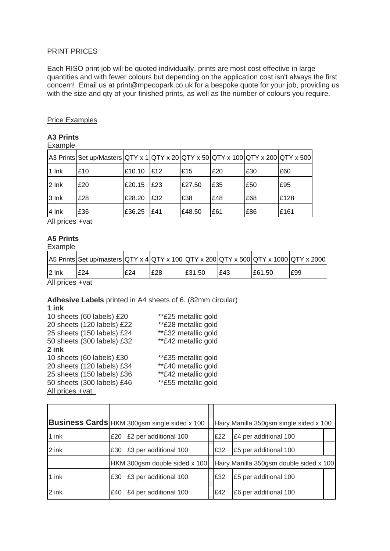# PRINT PRICES

Each RISO print job will be quoted individually, prints are most cost effective in large quantities and with fewer colours but depending on the application cost isn't always the first concern! Email us at print@mpecopark.co.uk for a bespoke quote for your job, providing us with the size and qty of your finished prints, as well as the number of colours you require.

# Price Examples

#### **A3 Prints** Example

| EXAIIDIU  |                                                                                             |        |     |        |     |     |      |
|-----------|---------------------------------------------------------------------------------------------|--------|-----|--------|-----|-----|------|
|           | $ A3 \text{ prints}$ Set up/Masters QTY x 1 QTY x 20 QTY x 50 QTY x 100 QTY x 200 QTY x 500 |        |     |        |     |     |      |
| 1 lnk     | £10                                                                                         | £10.10 | £12 | £15    | £20 | £30 | £60  |
| $2 \ln k$ | £20                                                                                         | £20.15 | £23 | £27.50 | £35 | £50 | £95  |
| 3 Ink     | £28                                                                                         | £28.20 | £32 | £38    | £48 | £68 | £128 |
| $ 4 $ lnk | £36                                                                                         | £36.25 | E41 | £48.50 | £61 | £86 | £161 |

All prices +vat

# **A5 Prints**

Example

|           | A5 Prints Set up/masters QTY x 4 QTY x 100 QTY x 200 QTY x 500 QTY x 1000 QTY x 2000 |     |     |        |     |        |     |
|-----------|--------------------------------------------------------------------------------------|-----|-----|--------|-----|--------|-----|
| $ 2 $ lnk | £24                                                                                  | £24 | £28 | £31.50 | F43 | £61.50 | E99 |

All prices +vat

# **Adhesive Labels** printed in A4 sheets of 6. (82mm circular)

| 1 ink                      |                     |
|----------------------------|---------------------|
| 10 sheets (60 labels) £20  | **£25 metallic gold |
| 20 sheets (120 labels) £22 | **£28 metallic gold |
| 25 sheets (150 labels) £24 | **£32 metallic gold |
| 50 sheets (300 labels) £32 | **£42 metallic gold |
| 2 ink                      |                     |
| 10 sheets (60 labels) £30  | **£35 metallic gold |
| 20 sheets (120 labels) £34 | **£40 metallic gold |
| 25 sheets (150 labels) £36 | **£42 metallic gold |
| 50 sheets (300 labels) £46 | **£55 metallic gold |
| All prices +vat            |                     |

|       | Business Cards HKM 300gsm single sided x 100 |                       |  | Hairy Manilla 350gsm single sided x 100 |                              |  |  |
|-------|----------------------------------------------|-----------------------|--|-----------------------------------------|------------------------------|--|--|
| 1 ink | £20                                          | £2 per additional 100 |  | £22                                     | £4 per additional 100        |  |  |
| 2 ink | £30                                          | E3 per additional 100 |  | £32                                     | <b>£5 per additional 100</b> |  |  |
|       | HKM 300gsm double sided x 100                |                       |  | Hairy Manilla 350gsm double sided x 100 |                              |  |  |
| 1 ink | £30                                          | £3 per additional 100 |  | £32                                     | <b>£5 per additional 100</b> |  |  |
| 2 ink | £40                                          | £4 per additional 100 |  | £42                                     | £6 per additional 100        |  |  |